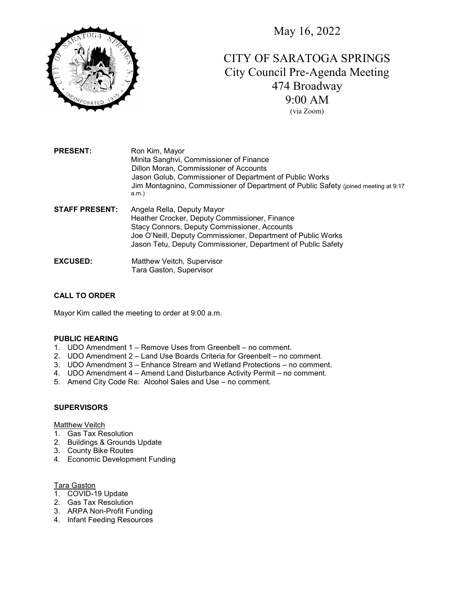May 16, 2022



# CITY OF SARATOGA SPRINGS City Council Pre-Agenda Meeting 474 Broadway 9:00 AM (via Zoom)

PRESENT: Ron Kim, Mayor Minita Sanghvi, Commissioner of Finance Dillon Moran, Commissioner of Accounts Jason Golub, Commissioner of Department of Public Works Jim Montagnino, Commissioner of Department of Public Safety (joined meeting at 9:17 a.m.) STAFF PRESENT: Angela Rella, Deputy Mayor Heather Crocker, Deputy Commissioner, Finance

- Stacy Connors, Deputy Commissioner, Accounts Joe O'Neill, Deputy Commissioner, Department of Public Works Jason Tetu, Deputy Commissioner, Department of Public Safety
- EXCUSED: Matthew Veitch, Supervisor Tara Gaston, Supervisor

# CALL TO ORDER

Mayor Kim called the meeting to order at 9:00 a.m.

## PUBLIC HEARING

- 1. UDO Amendment 1 Remove Uses from Greenbelt no comment.
- 2. UDO Amendment 2 Land Use Boards Criteria for Greenbelt no comment.
- 3. UDO Amendment 3 Enhance Stream and Wetland Protections no comment.
- 4. UDO Amendment 4 Amend Land Disturbance Activity Permit no comment.
- 5. Amend City Code Re: Alcohol Sales and Use no comment.

# **SUPERVISORS**

## Matthew Veitch

- 1. Gas Tax Resolution
- 2. Buildings & Grounds Update
- 3. County Bike Routes
- 4. Economic Development Funding

## Tara Gaston

- 1. COVID-19 Update
- 2. Gas Tax Resolution
- 3. ARPA Non-Profit Funding
- 4. Infant Feeding Resources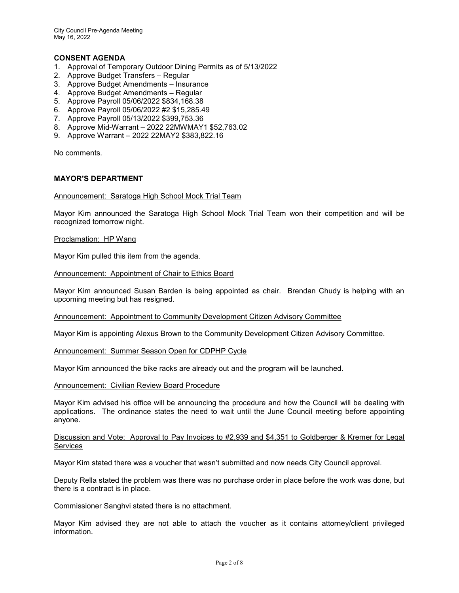City Council Pre-Agenda Meeting May 16, 2022

# CONSENT AGENDA

- 1. Approval of Temporary Outdoor Dining Permits as of 5/13/2022
- 2. Approve Budget Transfers Regular
- 3. Approve Budget Amendments Insurance
- 4. Approve Budget Amendments Regular
- 5. Approve Payroll 05/06/2022 \$834,168.38
- 6. Approve Payroll 05/06/2022 #2 \$15,285.49
- 7. Approve Payroll 05/13/2022 \$399,753.36
- 8. Approve Mid-Warrant 2022 22MWMAY1 \$52,763.02
- 9. Approve Warrant 2022 22MAY2 \$383,822.16

No comments.

# MAYOR'S DEPARTMENT

#### Announcement: Saratoga High School Mock Trial Team

Mayor Kim announced the Saratoga High School Mock Trial Team won their competition and will be recognized tomorrow night.

#### Proclamation: HP Wang

Mayor Kim pulled this item from the agenda.

Announcement: Appointment of Chair to Ethics Board

Mayor Kim announced Susan Barden is being appointed as chair. Brendan Chudy is helping with an upcoming meeting but has resigned.

Announcement: Appointment to Community Development Citizen Advisory Committee

Mayor Kim is appointing Alexus Brown to the Community Development Citizen Advisory Committee.

#### Announcement: Summer Season Open for CDPHP Cycle

Mayor Kim announced the bike racks are already out and the program will be launched.

#### Announcement: Civilian Review Board Procedure

Mayor Kim advised his office will be announcing the procedure and how the Council will be dealing with applications. The ordinance states the need to wait until the June Council meeting before appointing anyone.

## Discussion and Vote: Approval to Pay Invoices to #2,939 and \$4,351 to Goldberger & Kremer for Legal Services

Mayor Kim stated there was a voucher that wasn't submitted and now needs City Council approval.

Deputy Rella stated the problem was there was no purchase order in place before the work was done, but there is a contract is in place.

Commissioner Sanghvi stated there is no attachment.

Mayor Kim advised they are not able to attach the voucher as it contains attorney/client privileged information.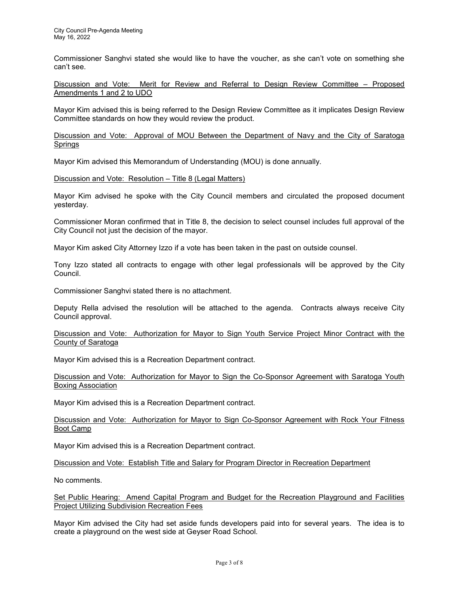Commissioner Sanghvi stated she would like to have the voucher, as she can't vote on something she can't see.

Discussion and Vote: Merit for Review and Referral to Design Review Committee – Proposed Amendments 1 and 2 to UDO

Mayor Kim advised this is being referred to the Design Review Committee as it implicates Design Review Committee standards on how they would review the product.

Discussion and Vote: Approval of MOU Between the Department of Navy and the City of Saratoga Springs

Mayor Kim advised this Memorandum of Understanding (MOU) is done annually.

Discussion and Vote: Resolution – Title 8 (Legal Matters)

Mayor Kim advised he spoke with the City Council members and circulated the proposed document yesterday.

Commissioner Moran confirmed that in Title 8, the decision to select counsel includes full approval of the City Council not just the decision of the mayor.

Mayor Kim asked City Attorney Izzo if a vote has been taken in the past on outside counsel.

Tony Izzo stated all contracts to engage with other legal professionals will be approved by the City Council.

Commissioner Sanghvi stated there is no attachment.

Deputy Rella advised the resolution will be attached to the agenda. Contracts always receive City Council approval.

Discussion and Vote: Authorization for Mayor to Sign Youth Service Project Minor Contract with the County of Saratoga

Mayor Kim advised this is a Recreation Department contract.

Discussion and Vote: Authorization for Mayor to Sign the Co-Sponsor Agreement with Saratoga Youth Boxing Association

Mayor Kim advised this is a Recreation Department contract.

Discussion and Vote: Authorization for Mayor to Sign Co-Sponsor Agreement with Rock Your Fitness Boot Camp

Mayor Kim advised this is a Recreation Department contract.

Discussion and Vote: Establish Title and Salary for Program Director in Recreation Department

No comments.

Set Public Hearing: Amend Capital Program and Budget for the Recreation Playground and Facilities Project Utilizing Subdivision Recreation Fees

Mayor Kim advised the City had set aside funds developers paid into for several years. The idea is to create a playground on the west side at Geyser Road School.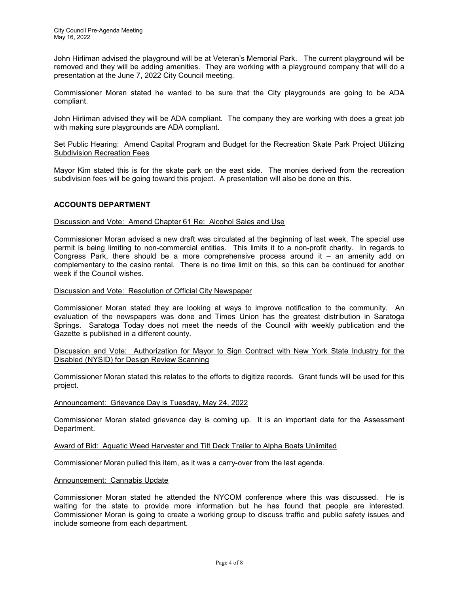John Hirliman advised the playground will be at Veteran's Memorial Park. The current playground will be removed and they will be adding amenities. They are working with a playground company that will do a presentation at the June 7, 2022 City Council meeting.

Commissioner Moran stated he wanted to be sure that the City playgrounds are going to be ADA compliant.

John Hirliman advised they will be ADA compliant. The company they are working with does a great job with making sure playgrounds are ADA compliant.

Set Public Hearing: Amend Capital Program and Budget for the Recreation Skate Park Project Utilizing Subdivision Recreation Fees

Mayor Kim stated this is for the skate park on the east side. The monies derived from the recreation subdivision fees will be going toward this project. A presentation will also be done on this.

## ACCOUNTS DEPARTMENT

## Discussion and Vote: Amend Chapter 61 Re: Alcohol Sales and Use

Commissioner Moran advised a new draft was circulated at the beginning of last week. The special use permit is being limiting to non-commercial entities. This limits it to a non-profit charity. In regards to Congress Park, there should be a more comprehensive process around it – an amenity add on complementary to the casino rental. There is no time limit on this, so this can be continued for another week if the Council wishes.

## Discussion and Vote: Resolution of Official City Newspaper

Commissioner Moran stated they are looking at ways to improve notification to the community. An evaluation of the newspapers was done and Times Union has the greatest distribution in Saratoga Springs. Saratoga Today does not meet the needs of the Council with weekly publication and the Gazette is published in a different county.

## Discussion and Vote: Authorization for Mayor to Sign Contract with New York State Industry for the Disabled (NYSID) for Design Review Scanning

Commissioner Moran stated this relates to the efforts to digitize records. Grant funds will be used for this project.

# Announcement: Grievance Day is Tuesday, May 24, 2022

Commissioner Moran stated grievance day is coming up. It is an important date for the Assessment Department.

#### Award of Bid: Aquatic Weed Harvester and Tilt Deck Trailer to Alpha Boats Unlimited

Commissioner Moran pulled this item, as it was a carry-over from the last agenda.

#### Announcement: Cannabis Update

Commissioner Moran stated he attended the NYCOM conference where this was discussed. He is waiting for the state to provide more information but he has found that people are interested. Commissioner Moran is going to create a working group to discuss traffic and public safety issues and include someone from each department.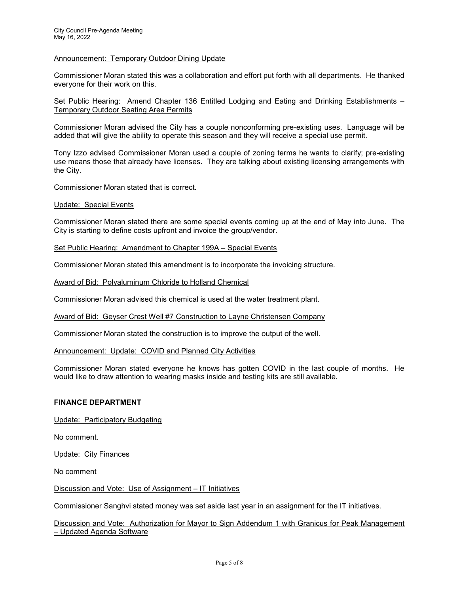## Announcement: Temporary Outdoor Dining Update

Commissioner Moran stated this was a collaboration and effort put forth with all departments. He thanked everyone for their work on this.

Set Public Hearing: Amend Chapter 136 Entitled Lodging and Eating and Drinking Establishments -Temporary Outdoor Seating Area Permits

Commissioner Moran advised the City has a couple nonconforming pre-existing uses. Language will be added that will give the ability to operate this season and they will receive a special use permit.

Tony Izzo advised Commissioner Moran used a couple of zoning terms he wants to clarify; pre-existing use means those that already have licenses. They are talking about existing licensing arrangements with the City.

Commissioner Moran stated that is correct.

Update: Special Events

Commissioner Moran stated there are some special events coming up at the end of May into June. The City is starting to define costs upfront and invoice the group/vendor.

Set Public Hearing: Amendment to Chapter 199A – Special Events

Commissioner Moran stated this amendment is to incorporate the invoicing structure.

Award of Bid: Polyaluminum Chloride to Holland Chemical

Commissioner Moran advised this chemical is used at the water treatment plant.

Award of Bid: Geyser Crest Well #7 Construction to Layne Christensen Company

Commissioner Moran stated the construction is to improve the output of the well.

Announcement: Update: COVID and Planned City Activities

Commissioner Moran stated everyone he knows has gotten COVID in the last couple of months. He would like to draw attention to wearing masks inside and testing kits are still available.

#### FINANCE DEPARTMENT

Update: Participatory Budgeting

No comment.

Update: City Finances

No comment

Discussion and Vote: Use of Assignment – IT Initiatives

Commissioner Sanghvi stated money was set aside last year in an assignment for the IT initiatives.

Discussion and Vote: Authorization for Mayor to Sign Addendum 1 with Granicus for Peak Management – Updated Agenda Software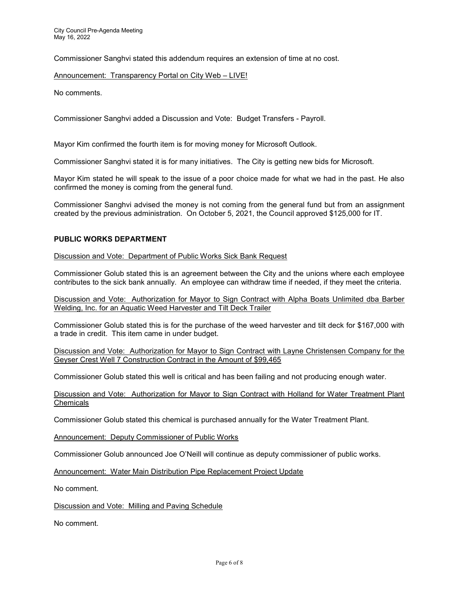Commissioner Sanghvi stated this addendum requires an extension of time at no cost.

Announcement: Transparency Portal on City Web – LIVE!

No comments.

Commissioner Sanghvi added a Discussion and Vote: Budget Transfers - Payroll.

Mayor Kim confirmed the fourth item is for moving money for Microsoft Outlook.

Commissioner Sanghvi stated it is for many initiatives. The City is getting new bids for Microsoft.

Mayor Kim stated he will speak to the issue of a poor choice made for what we had in the past. He also confirmed the money is coming from the general fund.

Commissioner Sanghvi advised the money is not coming from the general fund but from an assignment created by the previous administration. On October 5, 2021, the Council approved \$125,000 for IT.

## PUBLIC WORKS DEPARTMENT

Discussion and Vote: Department of Public Works Sick Bank Request

Commissioner Golub stated this is an agreement between the City and the unions where each employee contributes to the sick bank annually. An employee can withdraw time if needed, if they meet the criteria.

Discussion and Vote: Authorization for Mayor to Sign Contract with Alpha Boats Unlimited dba Barber Welding, Inc. for an Aquatic Weed Harvester and Tilt Deck Trailer

Commissioner Golub stated this is for the purchase of the weed harvester and tilt deck for \$167,000 with a trade in credit. This item came in under budget.

Discussion and Vote: Authorization for Mayor to Sign Contract with Layne Christensen Company for the Geyser Crest Well 7 Construction Contract in the Amount of \$99,465

Commissioner Golub stated this well is critical and has been failing and not producing enough water.

Discussion and Vote: Authorization for Mayor to Sign Contract with Holland for Water Treatment Plant **Chemicals** 

Commissioner Golub stated this chemical is purchased annually for the Water Treatment Plant.

Announcement: Deputy Commissioner of Public Works

Commissioner Golub announced Joe O'Neill will continue as deputy commissioner of public works.

Announcement: Water Main Distribution Pipe Replacement Project Update

No comment.

Discussion and Vote: Milling and Paving Schedule

No comment.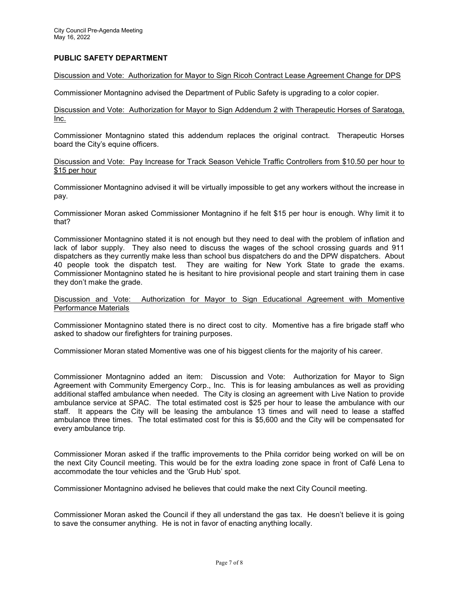# PUBLIC SAFETY DEPARTMENT

## Discussion and Vote: Authorization for Mayor to Sign Ricoh Contract Lease Agreement Change for DPS

Commissioner Montagnino advised the Department of Public Safety is upgrading to a color copier.

Discussion and Vote: Authorization for Mayor to Sign Addendum 2 with Therapeutic Horses of Saratoga, Inc.

Commissioner Montagnino stated this addendum replaces the original contract. Therapeutic Horses board the City's equine officers.

Discussion and Vote: Pay Increase for Track Season Vehicle Traffic Controllers from \$10.50 per hour to \$15 per hour

Commissioner Montagnino advised it will be virtually impossible to get any workers without the increase in pay.

Commissioner Moran asked Commissioner Montagnino if he felt \$15 per hour is enough. Why limit it to that?

Commissioner Montagnino stated it is not enough but they need to deal with the problem of inflation and lack of labor supply. They also need to discuss the wages of the school crossing guards and 911 dispatchers as they currently make less than school bus dispatchers do and the DPW dispatchers. About 40 people took the dispatch test. They are waiting for New York State to grade the exams. Commissioner Montagnino stated he is hesitant to hire provisional people and start training them in case they don't make the grade.

## Discussion and Vote: Authorization for Mayor to Sign Educational Agreement with Momentive Performance Materials

Commissioner Montagnino stated there is no direct cost to city. Momentive has a fire brigade staff who asked to shadow our firefighters for training purposes.

Commissioner Moran stated Momentive was one of his biggest clients for the majority of his career.

Commissioner Montagnino added an item: Discussion and Vote: Authorization for Mayor to Sign Agreement with Community Emergency Corp., Inc. This is for leasing ambulances as well as providing additional staffed ambulance when needed. The City is closing an agreement with Live Nation to provide ambulance service at SPAC. The total estimated cost is \$25 per hour to lease the ambulance with our staff. It appears the City will be leasing the ambulance 13 times and will need to lease a staffed ambulance three times. The total estimated cost for this is \$5,600 and the City will be compensated for every ambulance trip.

Commissioner Moran asked if the traffic improvements to the Phila corridor being worked on will be on the next City Council meeting. This would be for the extra loading zone space in front of Café Lena to accommodate the tour vehicles and the 'Grub Hub' spot.

Commissioner Montagnino advised he believes that could make the next City Council meeting.

Commissioner Moran asked the Council if they all understand the gas tax. He doesn't believe it is going to save the consumer anything. He is not in favor of enacting anything locally.